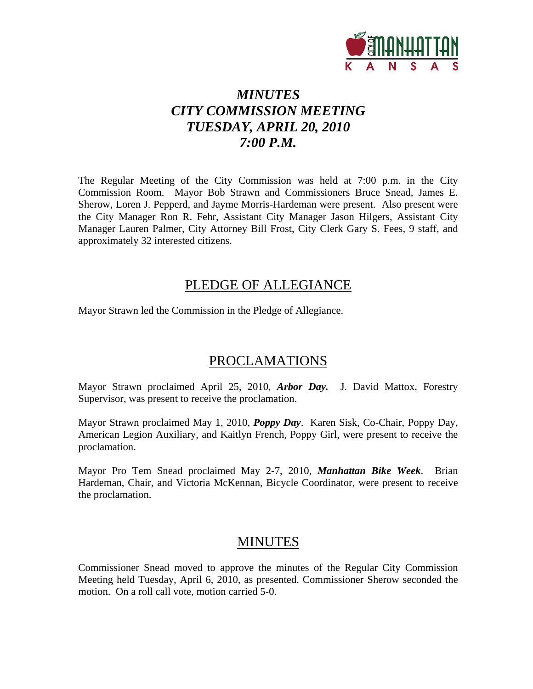

# *MINUTES CITY COMMISSION MEETING TUESDAY, APRIL 20, 2010 7:00 P.M.*

The Regular Meeting of the City Commission was held at 7:00 p.m. in the City Commission Room. Mayor Bob Strawn and Commissioners Bruce Snead, James E. Sherow, Loren J. Pepperd, and Jayme Morris-Hardeman were present. Also present were the City Manager Ron R. Fehr, Assistant City Manager Jason Hilgers, Assistant City Manager Lauren Palmer, City Attorney Bill Frost, City Clerk Gary S. Fees, 9 staff, and approximately 32 interested citizens.

## PLEDGE OF ALLEGIANCE

Mayor Strawn led the Commission in the Pledge of Allegiance.

## PROCLAMATIONS

Mayor Strawn proclaimed April 25, 2010, *Arbor Day.* J. David Mattox, Forestry Supervisor, was present to receive the proclamation.

Mayor Strawn proclaimed May 1, 2010, *Poppy Day*. Karen Sisk, Co-Chair, Poppy Day, American Legion Auxiliary, and Kaitlyn French, Poppy Girl, were present to receive the proclamation.

Mayor Pro Tem Snead proclaimed May 2-7, 2010, *Manhattan Bike Week*. Brian Hardeman, Chair, and Victoria McKennan, Bicycle Coordinator, were present to receive the proclamation.

## MINUTES

Commissioner Snead moved to approve the minutes of the Regular City Commission Meeting held Tuesday, April 6, 2010, as presented. Commissioner Sherow seconded the motion. On a roll call vote, motion carried 5-0.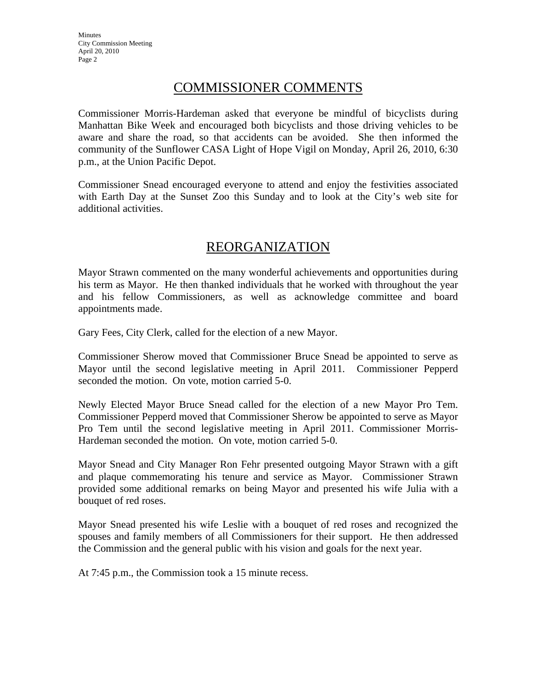## COMMISSIONER COMMENTS

Commissioner Morris-Hardeman asked that everyone be mindful of bicyclists during Manhattan Bike Week and encouraged both bicyclists and those driving vehicles to be aware and share the road, so that accidents can be avoided. She then informed the community of the Sunflower CASA Light of Hope Vigil on Monday, April 26, 2010, 6:30 p.m., at the Union Pacific Depot.

Commissioner Snead encouraged everyone to attend and enjoy the festivities associated with Earth Day at the Sunset Zoo this Sunday and to look at the City's web site for additional activities.

## REORGANIZATION

Mayor Strawn commented on the many wonderful achievements and opportunities during his term as Mayor. He then thanked individuals that he worked with throughout the year and his fellow Commissioners, as well as acknowledge committee and board appointments made.

Gary Fees, City Clerk, called for the election of a new Mayor.

Commissioner Sherow moved that Commissioner Bruce Snead be appointed to serve as Mayor until the second legislative meeting in April 2011. Commissioner Pepperd seconded the motion. On vote, motion carried 5-0.

Newly Elected Mayor Bruce Snead called for the election of a new Mayor Pro Tem. Commissioner Pepperd moved that Commissioner Sherow be appointed to serve as Mayor Pro Tem until the second legislative meeting in April 2011. Commissioner Morris-Hardeman seconded the motion. On vote, motion carried 5-0.

Mayor Snead and City Manager Ron Fehr presented outgoing Mayor Strawn with a gift and plaque commemorating his tenure and service as Mayor. Commissioner Strawn provided some additional remarks on being Mayor and presented his wife Julia with a bouquet of red roses.

Mayor Snead presented his wife Leslie with a bouquet of red roses and recognized the spouses and family members of all Commissioners for their support. He then addressed the Commission and the general public with his vision and goals for the next year.

At 7:45 p.m., the Commission took a 15 minute recess.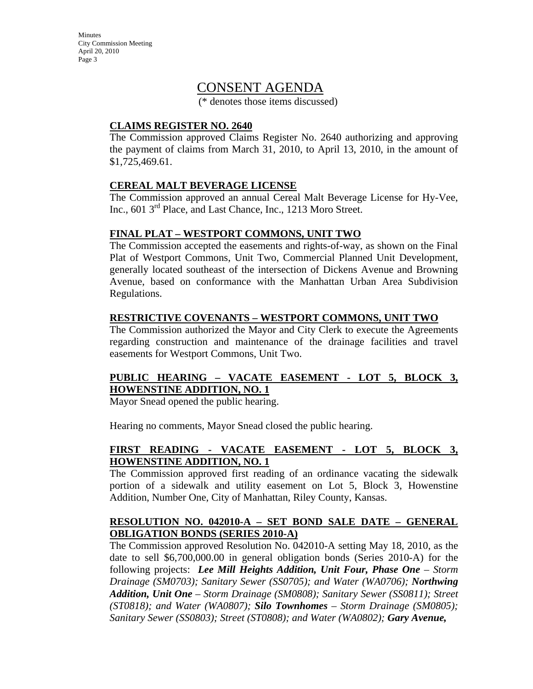**Minutes** City Commission Meeting April 20, 2010 Page 3

## CONSENT AGENDA

(\* denotes those items discussed)

#### **CLAIMS REGISTER NO. 2640**

The Commission approved Claims Register No. 2640 authorizing and approving the payment of claims from March 31, 2010, to April 13, 2010, in the amount of \$1,725,469.61.

#### **CEREAL MALT BEVERAGE LICENSE**

The Commission approved an annual Cereal Malt Beverage License for Hy-Vee, Inc., 601 3<sup>rd</sup> Place, and Last Chance, Inc., 1213 Moro Street.

#### **FINAL PLAT – WESTPORT COMMONS, UNIT TWO**

The Commission accepted the easements and rights-of-way, as shown on the Final Plat of Westport Commons, Unit Two, Commercial Planned Unit Development, generally located southeast of the intersection of Dickens Avenue and Browning Avenue, based on conformance with the Manhattan Urban Area Subdivision Regulations.

#### **RESTRICTIVE COVENANTS – WESTPORT COMMONS, UNIT TWO**

The Commission authorized the Mayor and City Clerk to execute the Agreements regarding construction and maintenance of the drainage facilities and travel easements for Westport Commons, Unit Two.

### **PUBLIC HEARING – VACATE EASEMENT - LOT 5, BLOCK 3, HOWENSTINE ADDITION, NO. 1**

Mayor Snead opened the public hearing.

Hearing no comments, Mayor Snead closed the public hearing.

#### **FIRST READING - VACATE EASEMENT - LOT 5, BLOCK 3, HOWENSTINE ADDITION, NO. 1**

The Commission approved first reading of an ordinance vacating the sidewalk portion of a sidewalk and utility easement on Lot 5, Block 3, Howenstine Addition, Number One, City of Manhattan, Riley County, Kansas.

#### **RESOLUTION NO. 042010-A – SET BOND SALE DATE – GENERAL OBLIGATION BONDS (SERIES 2010-A)**

The Commission approved Resolution No. 042010-A setting May 18, 2010, as the date to sell \$6,700,000.00 in general obligation bonds (Series 2010-A) for the following projects: *Lee Mill Heights Addition, Unit Four, Phase One – Storm Drainage (SM0703); Sanitary Sewer (SS0705); and Water (WA0706); Northwing Addition, Unit One – Storm Drainage (SM0808); Sanitary Sewer (SS0811); Street (ST0818); and Water (WA0807); Silo Townhomes – Storm Drainage (SM0805); Sanitary Sewer (SS0803); Street (ST0808); and Water (WA0802); Gary Avenue,*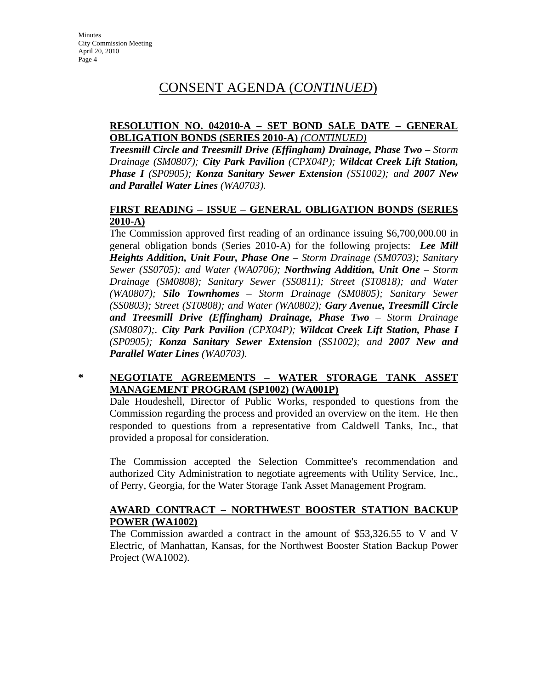## CONSENT AGENDA (*CONTINUED*)

#### **RESOLUTION NO. 042010-A – SET BOND SALE DATE – GENERAL OBLIGATION BONDS (SERIES 2010-A)** *(CONTINUED)*

*Treesmill Circle and Treesmill Drive (Effingham) Drainage, Phase Two – Storm Drainage (SM0807); City Park Pavilion (CPX04P); Wildcat Creek Lift Station, Phase I (SP0905); Konza Sanitary Sewer Extension (SS1002); and 2007 New and Parallel Water Lines (WA0703).* 

#### **FIRST READING – ISSUE – GENERAL OBLIGATION BONDS (SERIES 2010-A)**

The Commission approved first reading of an ordinance issuing \$6,700,000.00 in general obligation bonds (Series 2010-A) for the following projects: *Lee Mill Heights Addition, Unit Four, Phase One – Storm Drainage (SM0703); Sanitary Sewer (SS0705); and Water (WA0706); Northwing Addition, Unit One – Storm Drainage (SM0808); Sanitary Sewer (SS0811); Street (ST0818); and Water (WA0807); Silo Townhomes – Storm Drainage (SM0805); Sanitary Sewer (SS0803); Street (ST0808); and Water (WA0802); Gary Avenue, Treesmill Circle and Treesmill Drive (Effingham) Drainage, Phase Two – Storm Drainage (SM0807);. City Park Pavilion (CPX04P); Wildcat Creek Lift Station, Phase I (SP0905); Konza Sanitary Sewer Extension (SS1002); and 2007 New and Parallel Water Lines (WA0703).* 

#### **\* NEGOTIATE AGREEMENTS – WATER STORAGE TANK ASSET MANAGEMENT PROGRAM (SP1002) (WA001P)**

Dale Houdeshell, Director of Public Works, responded to questions from the Commission regarding the process and provided an overview on the item. He then responded to questions from a representative from Caldwell Tanks, Inc., that provided a proposal for consideration.

The Commission accepted the Selection Committee's recommendation and authorized City Administration to negotiate agreements with Utility Service, Inc., of Perry, Georgia, for the Water Storage Tank Asset Management Program.

#### **AWARD CONTRACT – NORTHWEST BOOSTER STATION BACKUP POWER (WA1002)**

The Commission awarded a contract in the amount of \$53,326.55 to V and V Electric, of Manhattan, Kansas, for the Northwest Booster Station Backup Power Project (WA1002).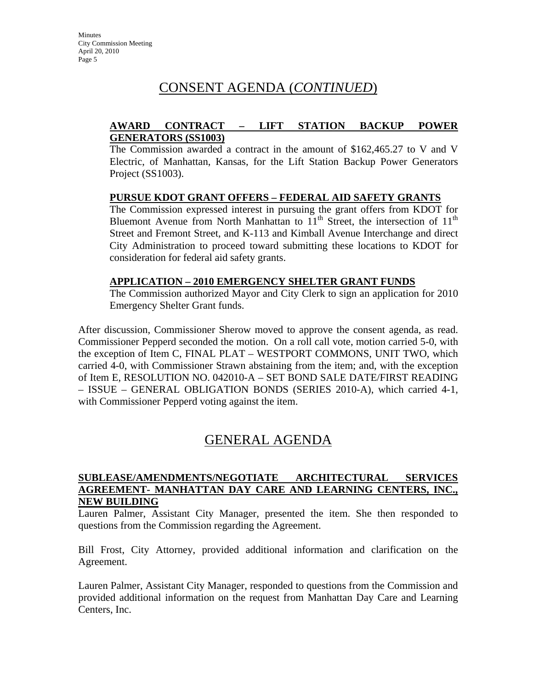# CONSENT AGENDA (*CONTINUED*)

#### **AWARD CONTRACT – LIFT STATION BACKUP POWER GENERATORS (SS1003)**

The Commission awarded a contract in the amount of \$162,465.27 to V and V Electric, of Manhattan, Kansas, for the Lift Station Backup Power Generators Project (SS1003).

#### **PURSUE KDOT GRANT OFFERS – FEDERAL AID SAFETY GRANTS**

The Commission expressed interest in pursuing the grant offers from KDOT for Bluemont Avenue from North Manhattan to  $11<sup>th</sup>$  Street, the intersection of  $11<sup>th</sup>$ Street and Fremont Street, and K-113 and Kimball Avenue Interchange and direct City Administration to proceed toward submitting these locations to KDOT for consideration for federal aid safety grants.

#### **APPLICATION – 2010 EMERGENCY SHELTER GRANT FUNDS**

The Commission authorized Mayor and City Clerk to sign an application for 2010 Emergency Shelter Grant funds.

After discussion, Commissioner Sherow moved to approve the consent agenda, as read. Commissioner Pepperd seconded the motion. On a roll call vote, motion carried 5-0, with the exception of Item C, FINAL PLAT – WESTPORT COMMONS, UNIT TWO, which carried 4-0, with Commissioner Strawn abstaining from the item; and, with the exception of Item E, RESOLUTION NO. 042010-A – SET BOND SALE DATE/FIRST READING – ISSUE – GENERAL OBLIGATION BONDS (SERIES 2010-A), which carried 4-1, with Commissioner Pepperd voting against the item.

## GENERAL AGENDA

#### **SUBLEASE/AMENDMENTS/NEGOTIATE ARCHITECTURAL SERVICES AGREEMENT- MANHATTAN DAY CARE AND LEARNING CENTERS, INC., NEW BUILDING**

Lauren Palmer, Assistant City Manager, presented the item. She then responded to questions from the Commission regarding the Agreement.

Bill Frost, City Attorney, provided additional information and clarification on the Agreement.

Lauren Palmer, Assistant City Manager, responded to questions from the Commission and provided additional information on the request from Manhattan Day Care and Learning Centers, Inc.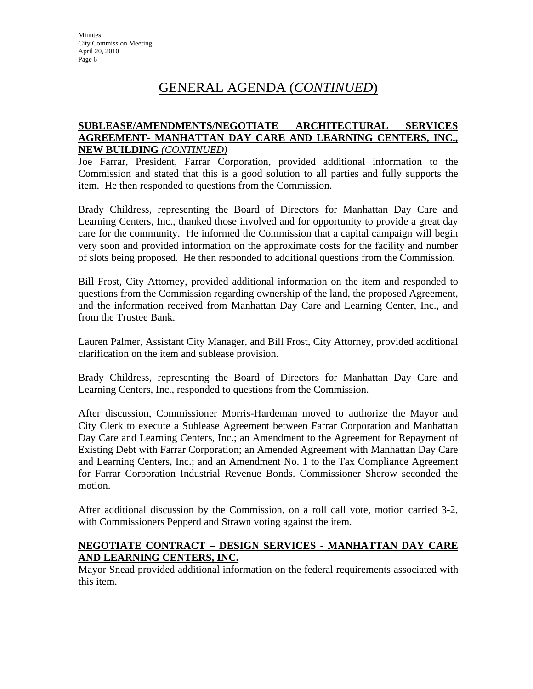#### **SUBLEASE/AMENDMENTS/NEGOTIATE ARCHITECTURAL SERVICES AGREEMENT- MANHATTAN DAY CARE AND LEARNING CENTERS, INC., NEW BUILDING** *(CONTINUED)*

Joe Farrar, President, Farrar Corporation, provided additional information to the Commission and stated that this is a good solution to all parties and fully supports the item. He then responded to questions from the Commission.

Brady Childress, representing the Board of Directors for Manhattan Day Care and Learning Centers, Inc., thanked those involved and for opportunity to provide a great day care for the community. He informed the Commission that a capital campaign will begin very soon and provided information on the approximate costs for the facility and number of slots being proposed. He then responded to additional questions from the Commission.

Bill Frost, City Attorney, provided additional information on the item and responded to questions from the Commission regarding ownership of the land, the proposed Agreement, and the information received from Manhattan Day Care and Learning Center, Inc., and from the Trustee Bank.

Lauren Palmer, Assistant City Manager, and Bill Frost, City Attorney, provided additional clarification on the item and sublease provision.

Brady Childress, representing the Board of Directors for Manhattan Day Care and Learning Centers, Inc., responded to questions from the Commission.

After discussion, Commissioner Morris-Hardeman moved to authorize the Mayor and City Clerk to execute a Sublease Agreement between Farrar Corporation and Manhattan Day Care and Learning Centers, Inc.; an Amendment to the Agreement for Repayment of Existing Debt with Farrar Corporation; an Amended Agreement with Manhattan Day Care and Learning Centers, Inc.; and an Amendment No. 1 to the Tax Compliance Agreement for Farrar Corporation Industrial Revenue Bonds. Commissioner Sherow seconded the motion.

After additional discussion by the Commission, on a roll call vote, motion carried 3-2, with Commissioners Pepperd and Strawn voting against the item.

#### **NEGOTIATE CONTRACT – DESIGN SERVICES - MANHATTAN DAY CARE AND LEARNING CENTERS, INC.**

Mayor Snead provided additional information on the federal requirements associated with this item.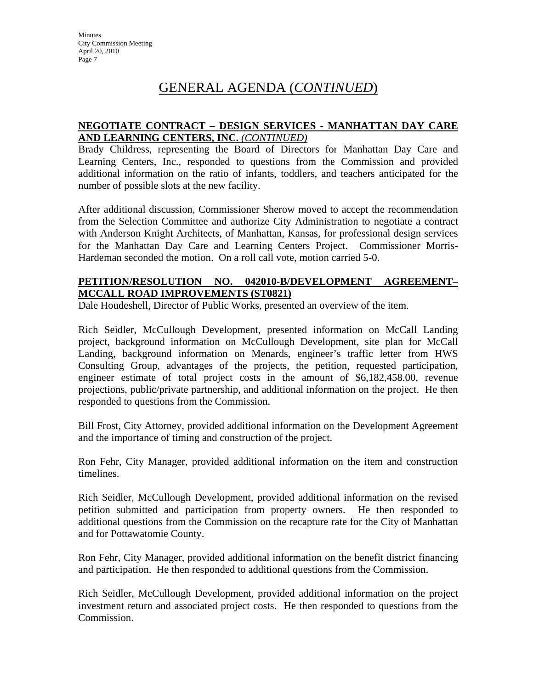#### **NEGOTIATE CONTRACT – DESIGN SERVICES - MANHATTAN DAY CARE AND LEARNING CENTERS, INC.** *(CONTINUED)*

Brady Childress, representing the Board of Directors for Manhattan Day Care and Learning Centers, Inc., responded to questions from the Commission and provided additional information on the ratio of infants, toddlers, and teachers anticipated for the number of possible slots at the new facility.

After additional discussion, Commissioner Sherow moved to accept the recommendation from the Selection Committee and authorize City Administration to negotiate a contract with Anderson Knight Architects, of Manhattan, Kansas, for professional design services for the Manhattan Day Care and Learning Centers Project. Commissioner Morris-Hardeman seconded the motion. On a roll call vote, motion carried 5-0.

#### **PETITION/RESOLUTION NO. 042010-B/DEVELOPMENT AGREEMENT– MCCALL ROAD IMPROVEMENTS (ST0821)**

Dale Houdeshell, Director of Public Works, presented an overview of the item.

Rich Seidler, McCullough Development, presented information on McCall Landing project, background information on McCullough Development, site plan for McCall Landing, background information on Menards, engineer's traffic letter from HWS Consulting Group, advantages of the projects, the petition, requested participation, engineer estimate of total project costs in the amount of \$6,182,458.00, revenue projections, public/private partnership, and additional information on the project. He then responded to questions from the Commission.

Bill Frost, City Attorney, provided additional information on the Development Agreement and the importance of timing and construction of the project.

Ron Fehr, City Manager, provided additional information on the item and construction timelines.

Rich Seidler, McCullough Development, provided additional information on the revised petition submitted and participation from property owners. He then responded to additional questions from the Commission on the recapture rate for the City of Manhattan and for Pottawatomie County.

Ron Fehr, City Manager, provided additional information on the benefit district financing and participation. He then responded to additional questions from the Commission.

Rich Seidler, McCullough Development, provided additional information on the project investment return and associated project costs. He then responded to questions from the Commission.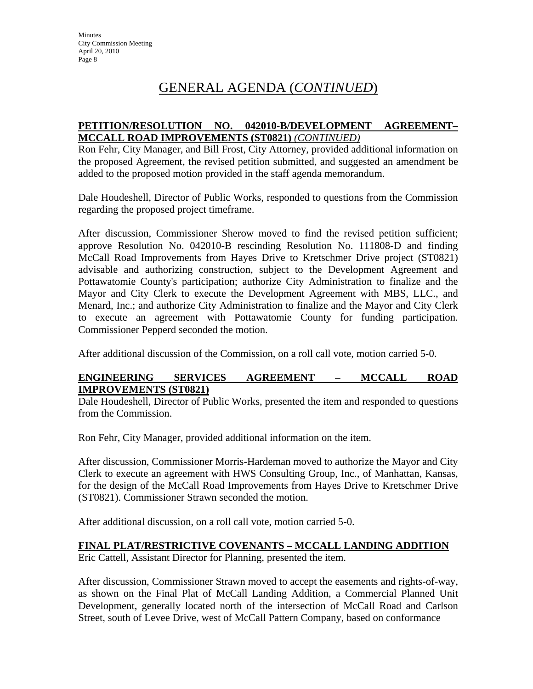#### **PETITION/RESOLUTION NO. 042010-B/DEVELOPMENT AGREEMENT– MCCALL ROAD IMPROVEMENTS (ST0821)** *(CONTINUED)*

Ron Fehr, City Manager, and Bill Frost, City Attorney, provided additional information on the proposed Agreement, the revised petition submitted, and suggested an amendment be added to the proposed motion provided in the staff agenda memorandum.

Dale Houdeshell, Director of Public Works, responded to questions from the Commission regarding the proposed project timeframe.

After discussion, Commissioner Sherow moved to find the revised petition sufficient; approve Resolution No. 042010-B rescinding Resolution No. 111808-D and finding McCall Road Improvements from Hayes Drive to Kretschmer Drive project (ST0821) advisable and authorizing construction, subject to the Development Agreement and Pottawatomie County's participation; authorize City Administration to finalize and the Mayor and City Clerk to execute the Development Agreement with MBS, LLC., and Menard, Inc.; and authorize City Administration to finalize and the Mayor and City Clerk to execute an agreement with Pottawatomie County for funding participation. Commissioner Pepperd seconded the motion.

After additional discussion of the Commission, on a roll call vote, motion carried 5-0.

#### **ENGINEERING SERVICES AGREEMENT – MCCALL ROAD IMPROVEMENTS (ST0821)**

Dale Houdeshell, Director of Public Works, presented the item and responded to questions from the Commission.

Ron Fehr, City Manager, provided additional information on the item.

After discussion, Commissioner Morris-Hardeman moved to authorize the Mayor and City Clerk to execute an agreement with HWS Consulting Group, Inc., of Manhattan, Kansas, for the design of the McCall Road Improvements from Hayes Drive to Kretschmer Drive (ST0821). Commissioner Strawn seconded the motion.

After additional discussion, on a roll call vote, motion carried 5-0.

#### **FINAL PLAT/RESTRICTIVE COVENANTS – MCCALL LANDING ADDITION**

Eric Cattell, Assistant Director for Planning, presented the item.

After discussion, Commissioner Strawn moved to accept the easements and rights-of-way, as shown on the Final Plat of McCall Landing Addition, a Commercial Planned Unit Development, generally located north of the intersection of McCall Road and Carlson Street, south of Levee Drive, west of McCall Pattern Company, based on conformance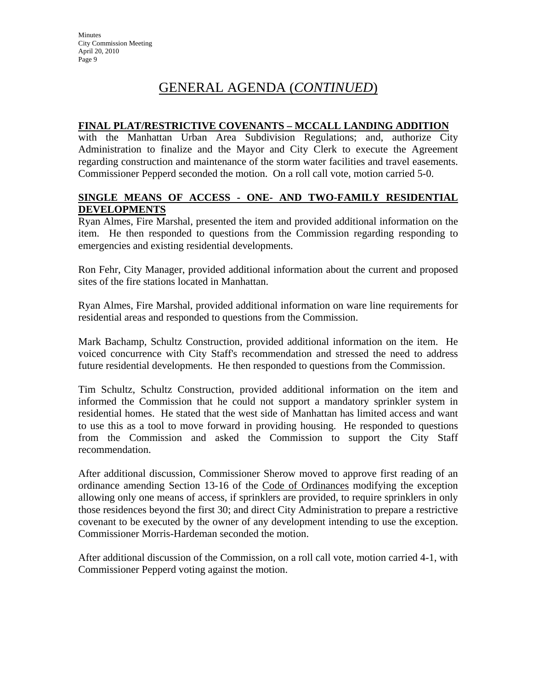#### **FINAL PLAT/RESTRICTIVE COVENANTS – MCCALL LANDING ADDITION**

with the Manhattan Urban Area Subdivision Regulations; and, authorize City Administration to finalize and the Mayor and City Clerk to execute the Agreement regarding construction and maintenance of the storm water facilities and travel easements. Commissioner Pepperd seconded the motion. On a roll call vote, motion carried 5-0.

#### **SINGLE MEANS OF ACCESS - ONE- AND TWO-FAMILY RESIDENTIAL DEVELOPMENTS**

Ryan Almes, Fire Marshal, presented the item and provided additional information on the item. He then responded to questions from the Commission regarding responding to emergencies and existing residential developments.

Ron Fehr, City Manager, provided additional information about the current and proposed sites of the fire stations located in Manhattan.

Ryan Almes, Fire Marshal, provided additional information on ware line requirements for residential areas and responded to questions from the Commission.

Mark Bachamp, Schultz Construction, provided additional information on the item. He voiced concurrence with City Staff's recommendation and stressed the need to address future residential developments. He then responded to questions from the Commission.

Tim Schultz, Schultz Construction, provided additional information on the item and informed the Commission that he could not support a mandatory sprinkler system in residential homes. He stated that the west side of Manhattan has limited access and want to use this as a tool to move forward in providing housing. He responded to questions from the Commission and asked the Commission to support the City Staff recommendation.

After additional discussion, Commissioner Sherow moved to approve first reading of an ordinance amending Section 13-16 of the Code of Ordinances modifying the exception allowing only one means of access, if sprinklers are provided, to require sprinklers in only those residences beyond the first 30; and direct City Administration to prepare a restrictive covenant to be executed by the owner of any development intending to use the exception. Commissioner Morris-Hardeman seconded the motion.

After additional discussion of the Commission, on a roll call vote, motion carried 4-1, with Commissioner Pepperd voting against the motion.